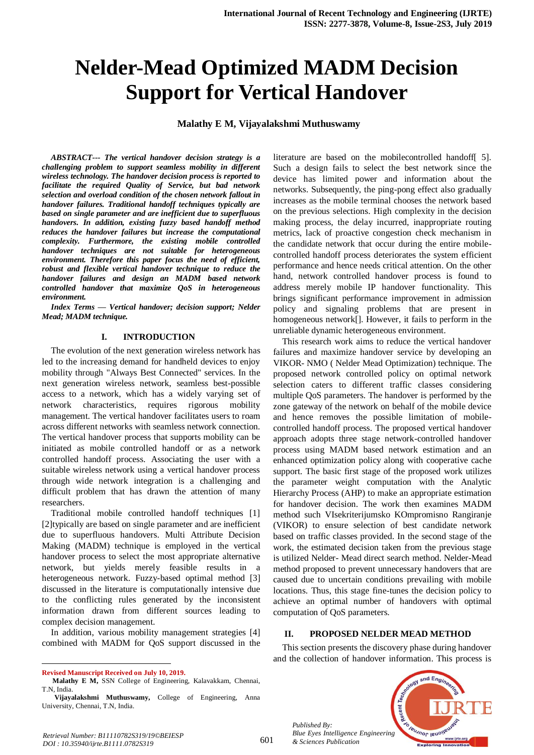# **Nelder-Mead Optimized MADM Decision Support for Vertical Handover**

**Malathy E M, Vijayalakshmi Muthuswamy**

*ABSTRACT--- The vertical handover decision strategy is a challenging problem to support seamless mobility in different wireless technology. The handover decision process is reported to facilitate the required Quality of Service, but bad network selection and overload condition of the chosen network fallout in handover failures. Traditional handoff techniques typically are based on single parameter and are inefficient due to superfluous handovers. In addition, existing fuzzy based handoff method reduces the handover failures but increase the computational complexity. Furthermore, the existing mobile controlled handover techniques are not suitable for heterogeneous environment. Therefore this paper focus the need of efficient, robust and flexible vertical handover technique to reduce the handover failures and design an MADM based network controlled handover that maximize QoS in heterogeneous environment.*

*Index Terms — Vertical handover; decision support; Nelder Mead; MADM technique.*

### **I. INTRODUCTION**

The evolution of the next generation wireless network has led to the increasing demand for handheld devices to enjoy mobility through "Always Best Connected" services. In the next generation wireless network, seamless best-possible access to a network, which has a widely varying set of network characteristics, requires rigorous mobility management. The vertical handover facilitates users to roam across different networks with seamless network connection. The vertical handover process that supports mobility can be initiated as mobile controlled handoff or as a network controlled handoff process. Associating the user with a suitable wireless network using a vertical handover process through wide network integration is a challenging and difficult problem that has drawn the attention of many researchers.

Traditional mobile controlled handoff techniques [1] [2]typically are based on single parameter and are inefficient due to superfluous handovers. Multi Attribute Decision Making (MADM) technique is employed in the vertical handover process to select the most appropriate alternative network, but yields merely feasible results in a heterogeneous network. Fuzzy-based optimal method [3] discussed in the literature is computationally intensive due to the conflicting rules generated by the inconsistent information drawn from different sources leading to complex decision management.

In addition, various mobility management strategies [4] combined with MADM for QoS support discussed in the literature are based on the mobilecontrolled handoff[ 5]. Such a design fails to select the best network since the device has limited power and information about the networks. Subsequently, the ping-pong effect also gradually increases as the mobile terminal chooses the network based on the previous selections. High complexity in the decision making process, the delay incurred, inappropriate routing metrics, lack of proactive congestion check mechanism in the candidate network that occur during the entire mobilecontrolled handoff process deteriorates the system efficient performance and hence needs critical attention. On the other hand, network controlled handover process is found to address merely mobile IP handover functionality. This brings significant performance improvement in admission policy and signaling problems that are present in homogeneous network[]. However, it fails to perform in the unreliable dynamic heterogeneous environment.

This research work aims to reduce the vertical handover failures and maximize handover service by developing an VIKOR- NMO ( Nelder Mead Optimization) technique. The proposed network controlled policy on optimal network selection caters to different traffic classes considering multiple QoS parameters. The handover is performed by the zone gateway of the network on behalf of the mobile device and hence removes the possible limitation of mobilecontrolled handoff process. The proposed vertical handover approach adopts three stage network-controlled handover process using MADM based network estimation and an enhanced optimization policy along with cooperative cache support. The basic first stage of the proposed work utilizes the parameter weight computation with the Analytic Hierarchy Process (AHP) to make an appropriate estimation for handover decision. The work then examines MADM method such VIsekriterijumsko KOmpromisno Rangiranje (VIKOR) to ensure selection of best candidate network based on traffic classes provided. In the second stage of the work, the estimated decision taken from the previous stage is utilized Nelder- Mead direct search method. Nelder-Mead method proposed to prevent unnecessary handovers that are caused due to uncertain conditions prevailing with mobile locations. Thus, this stage fine-tunes the decision policy to achieve an optimal number of handovers with optimal computation of QoS parameters.

## **II. PROPOSED NELDER MEAD METHOD**

This section presents the discovery phase during handover and the collection of handover information. This process is



*Published By: Blue Eyes Intelligence Engineering & Sciences Publication* 

 $\ddot{\phantom{a}}$ **Revised Manuscript Received on July 10, 2019.**

**Malathy E M,** SSN College of Engineering, Kalavakkam, Chennai, T.N, India.

**Vijayalakshmi Muthuswamy,** College of Engineering, Anna University, Chennai, T.N, India.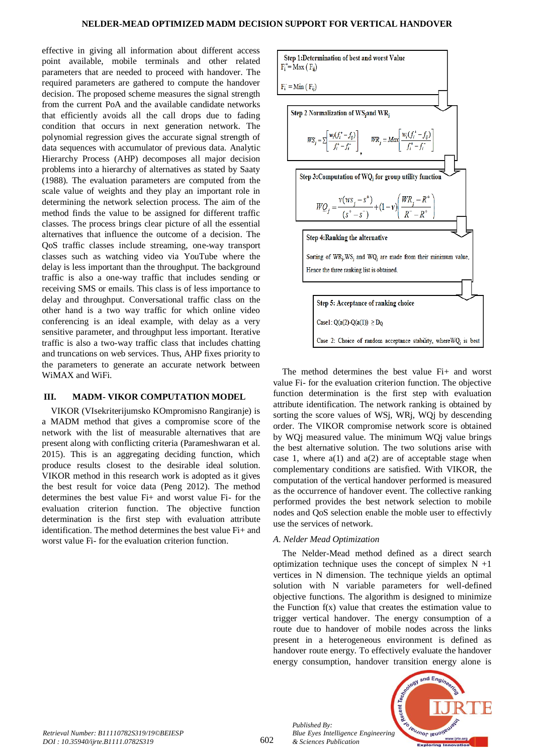effective in giving all information about different access point available, mobile terminals and other related parameters that are needed to proceed with handover. The required parameters are gathered to compute the handover decision. The proposed scheme measures the signal strength from the current PoA and the available candidate networks that efficiently avoids all the call drops due to fading condition that occurs in next generation network. The polynomial regression gives the accurate signal strength of data sequences with accumulator of previous data. Analytic Hierarchy Process (AHP) decomposes all major decision problems into a hierarchy of alternatives as stated by Saaty (1988). The evaluation parameters are computed from the scale value of weights and they play an important role in determining the network selection process. The aim of the method finds the value to be assigned for different traffic classes. The process brings clear picture of all the essential alternatives that influence the outcome of a decision. The QoS traffic classes include streaming, one-way transport classes such as watching video via YouTube where the delay is less important than the throughput. The background traffic is also a one-way traffic that includes sending or receiving SMS or emails. This class is of less importance to delay and throughput. Conversational traffic class on the other hand is a two way traffic for which online video conferencing is an ideal example, with delay as a very sensitive parameter, and throughput less important. Iterative traffic is also a two-way traffic class that includes chatting and truncations on web services. Thus, AHP fixes priority to the parameters to generate an accurate network between WiMAX and WiFi.

### **III. MADM- VIKOR COMPUTATION MODEL**

VIKOR (VIsekriterijumsko KOmpromisno Rangiranje) is a MADM method that gives a compromise score of the network with the list of measurable alternatives that are present along with conflicting criteria (Parameshwaran et al. 2015). This is an aggregating deciding function, which produce results closest to the desirable ideal solution. VIKOR method in this research work is adopted as it gives the best result for voice data (Peng 2012). The method determines the best value Fi+ and worst value Fi- for the evaluation criterion function. The objective function determination is the first step with evaluation attribute identification. The method determines the best value Fi+ and worst value Fi- for the evaluation criterion function.



The method determines the best value Fi+ and worst value Fi- for the evaluation criterion function. The objective function determination is the first step with evaluation attribute identification. The network ranking is obtained by sorting the score values of WSj, WRj, WQj by descending order. The VIKOR compromise network score is obtained by WQj measured value. The minimum WQj value brings the best alternative solution. The two solutions arise with case 1, where  $a(1)$  and  $a(2)$  are of acceptable stage when complementary conditions are satisfied. With VIKOR, the computation of the vertical handover performed is measured as the occurrence of handover event. The collective ranking performed provides the best network selection to mobile nodes and QoS selection enable the moble user to effectivly use the services of network.

## *A. Nelder Mead Optimization*

The Nelder-Mead method defined as a direct search optimization technique uses the concept of simplex  $N +1$ vertices in N dimension. The technique yields an optimal solution with N variable parameters for well-defined objective functions. The algorithm is designed to minimize the Function  $f(x)$  value that creates the estimation value to trigger vertical handover. The energy consumption of a route due to handover of mobile nodes across the links present in a heterogeneous environment is defined as handover route energy. To effectively evaluate the handover energy consumption, handover transition energy alone is



*Published By:*

*& Sciences Publication*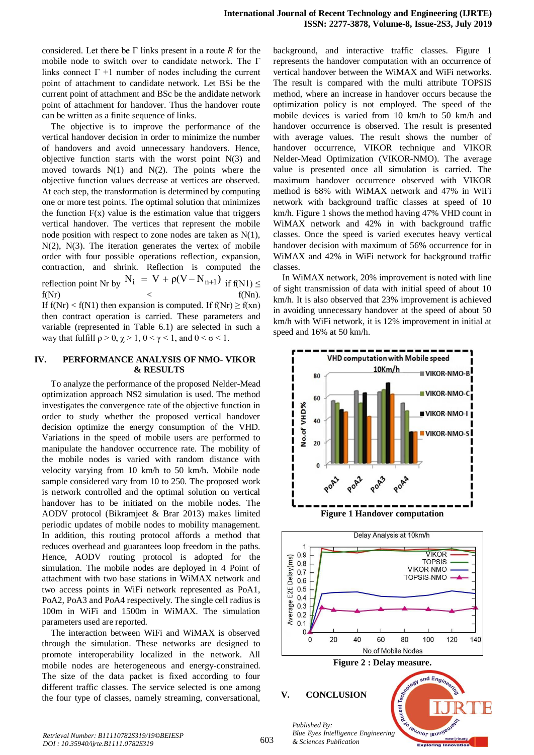considered. Let there be  $\Gamma$  links present in a route  $R$  for the mobile node to switch over to candidate network. The Γ links connect  $\Gamma$  +1 number of nodes including the current point of attachment to candidate network. Let BSi be the current point of attachment and BSc be the andidate network point of attachment for handover. Thus the handover route can be written as a finite sequence of links.

The objective is to improve the performance of the vertical handover decision in order to minimize the number of handovers and avoid unnecessary handovers. Hence, objective function starts with the worst point  $N(3)$  and moved towards  $N(1)$  and  $N(2)$ . The points where the objective function values decrease at vertices are observed. At each step, the transformation is determined by computing one or more test points. The optimal solution that minimizes the function  $F(x)$  value is the estimation value that triggers vertical handover. The vertices that represent the mobile node position with respect to zone nodes are taken as N(1),  $N(2)$ ,  $N(3)$ . The iteration generates the vertex of mobile order with four possible operations reflection, expansion, contraction, and shrink. Reflection is computed the reflection point Nr by  $N_i = V + \rho(V - N_{n+1})$  if  $f(N1) \le$  $f(Nr)$   $\langle f(Nn) \rangle$ If  $f(Nr) < f(N1)$  then expansion is computed. If  $f(Nr) \ge f(xn)$ then contract operation is carried. These parameters and variable (represented in Table 6.1) are selected in such a way that fulfill  $\rho > 0$ ,  $\chi > 1$ ,  $0 < \gamma < 1$ , and  $0 < \sigma < 1$ .

#### **IV. PERFORMANCE ANALYSIS OF NMO- VIKOR & RESULTS**

To analyze the performance of the proposed Nelder-Mead optimization approach NS2 simulation is used. The method investigates the convergence rate of the objective function in order to study whether the proposed vertical handover decision optimize the energy consumption of the VHD. Variations in the speed of mobile users are performed to manipulate the handover occurrence rate. The mobility of the mobile nodes is varied with random distance with velocity varying from 10 km/h to 50 km/h. Mobile node sample considered vary from 10 to 250. The proposed work is network controlled and the optimal solution on vertical handover has to be initiated on the mobile nodes. The AODV protocol (Bikramjeet & Brar 2013) makes limited periodic updates of mobile nodes to mobility management. In addition, this routing protocol affords a method that reduces overhead and guarantees loop freedom in the paths. Hence, AODV routing protocol is adopted for the simulation. The mobile nodes are deployed in 4 Point of attachment with two base stations in WiMAX network and two access points in WiFi network represented as PoA1, PoA2, PoA3 and PoA4 respectively. The single cell radius is 100m in WiFi and 1500m in WiMAX. The simulation parameters used are reported.

The interaction between WiFi and WiMAX is observed through the simulation. These networks are designed to promote interoperability localized in the network. All mobile nodes are heterogeneous and energy-constrained. The size of the data packet is fixed according to four different traffic classes. The service selected is one among the four type of classes, namely streaming, conversational,

background, and interactive traffic classes. Figure 1 represents the handover computation with an occurrence of vertical handover between the WiMAX and WiFi networks. The result is compared with the multi attribute TOPSIS method, where an increase in handover occurs because the optimization policy is not employed. The speed of the mobile devices is varied from 10 km/h to 50 km/h and handover occurrence is observed. The result is presented with average values. The result shows the number of handover occurrence, VIKOR technique and VIKOR Nelder-Mead Optimization (VIKOR-NMO). The average value is presented once all simulation is carried. The maximum handover occurrence observed with VIKOR method is 68% with WiMAX network and 47% in WiFi network with background traffic classes at speed of 10 km/h. Figure 1 shows the method having 47% VHD count in WiMAX network and 42% in with background traffic classes. Once the speed is varied executes heavy vertical handover decision with maximum of 56% occurrence for in WiMAX and 42% in WiFi network for background traffic classes.

In WiMAX network, 20% improvement is noted with line of sight transmission of data with initial speed of about 10 km/h. It is also observed that 23% improvement is achieved in avoiding unnecessary handover at the speed of about 50 km/h with WiFi network, it is 12% improvement in initial at speed and 16% at 50 km/h.



*& Sciences Publication*